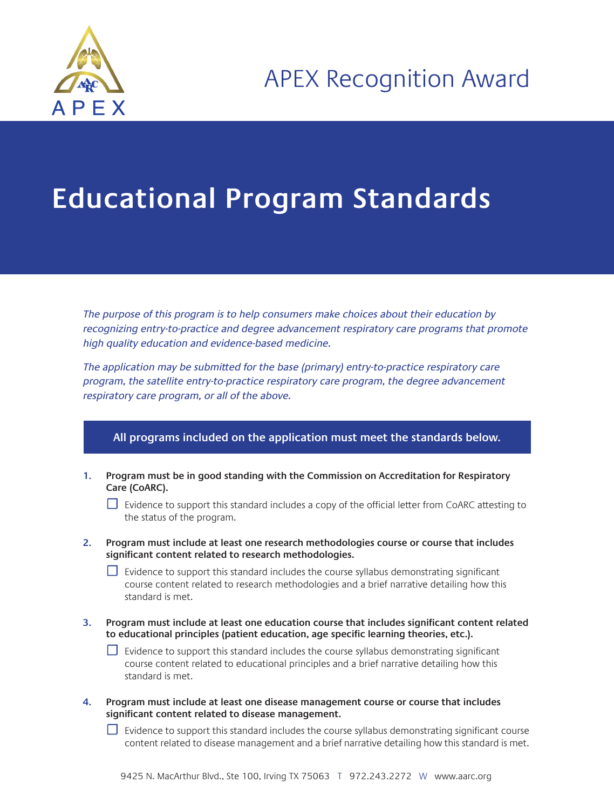

## **Educational Program Standards**

The purpose of this program is to help consumers make choices about their education by recognizing entry-to-practice and degree advancement respiratory care programs that promote high quality education and evidence-based medicine.

The application may be submitted for the base (primary) entry-to-practice respiratory care program, the satellite entry-to-practice respiratory care program, the degree advancement respiratory care program, or all of the above.

## **All programs included on the application must meet the standards below.**

- **1. Program must be in good standing with the Commission on Accreditation for Respiratory Care (CoARC).**
	- ☐ Evidence to support this standard includes a copy of the official letter from CoARC attesting to the status of the program.
- **2. Program must include at least one research methodologies course or course that includes significant content related to research methodologies.**

 $□$  Evidence to support this standard includes the course syllabus demonstrating significant course content related to research methodologies and a brief narrative detailing how this standard is met.

**3. Program must include at least one education course that includes significant content related to educational principles (patient education, age specific learning theories, etc.).**

 $□$  Evidence to support this standard includes the course syllabus demonstrating significant course content related to educational principles and a brief narrative detailing how this standard is met.

**4. Program must include at least one disease management course or course that includes significant content related to disease management.**

 $\Box$  Evidence to support this standard includes the course syllabus demonstrating significant course content related to disease management and a brief narrative detailing how this standard is met.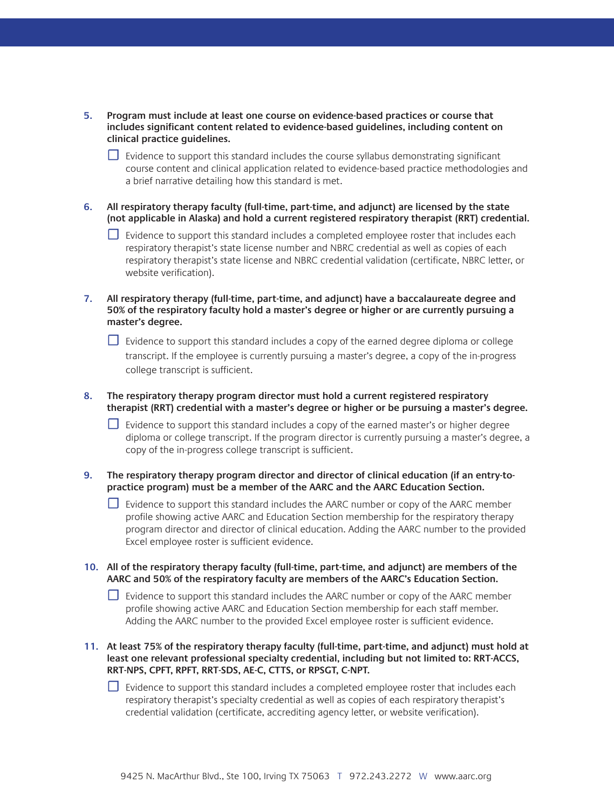| 5. Program must include at least one course on evidence-based practices or course that  |
|-----------------------------------------------------------------------------------------|
| includes significant content related to evidence-based quidelines, including content on |
| clinical practice quidelines.                                                           |

 $\Box$  Evidence to support this standard includes the course syllabus demonstrating significant course content and clinical application related to evidence-based practice methodologies and a brief narrative detailing how this standard is met.

**6. All respiratory therapy faculty (full-time, part-time, and adjunct) are licensed by the state (not applicable in Alaska) and hold a current registered respiratory therapist (RRT) credential.**

- □ Evidence to support this standard includes a completed employee roster that includes each respiratory therapist's state license number and NBRC credential as well as copies of each respiratory therapist's state license and NBRC credential validation (certificate, NBRC letter, or website verification).
- **7. All respiratory therapy (full-time, part-time, and adjunct) have a baccalaureate degree and 50% of the respiratory faculty hold a master's degree or higher or are currently pursuing a master's degree.**
	- $\Box$  Evidence to support this standard includes a copy of the earned degree diploma or college transcript. If the employee is currently pursuing a master's degree, a copy of the in-progress college transcript is sufficient.
- **8. The respiratory therapy program director must hold a current registered respiratory therapist (RRT) credential with a master's degree or higher or be pursuing a master's degree.** 
	- ☐ Evidence to support this standard includes a copy of the earned master's or higher degree diploma or college transcript. If the program director is currently pursuing a master's degree, a copy of the in-progress college transcript is sufficient.
- **9. The respiratory therapy program director and director of clinical education (if an entry-topractice program) must be a member of the AARC and the AARC Education Section.** 
	- $\Box$  Evidence to support this standard includes the AARC number or copy of the AARC member profile showing active AARC and Education Section membership for the respiratory therapy program director and director of clinical education. Adding the AARC number to the provided Excel employee roster is sufficient evidence.
- **10. All of the respiratory therapy faculty (full-time, part-time, and adjunct) are members of the AARC and 50% of the respiratory faculty are members of the AARC's Education Section.**

 $\Box$  Evidence to support this standard includes the AARC number or copy of the AARC member profile showing active AARC and Education Section membership for each staff member. Adding the AARC number to the provided Excel employee roster is sufficient evidence.

**11. At least 75% of the respiratory therapy faculty (full-time, part-time, and adjunct) must hold at least one relevant professional specialty credential, including but not limited to: RRT-ACCS, RRT-NPS, CPFT, RPFT, RRT-SDS, AE-C, CTTS, or RPSGT, C-NPT.**

 $□$  Evidence to support this standard includes a completed employee roster that includes each respiratory therapist's specialty credential as well as copies of each respiratory therapist's credential validation (certificate, accrediting agency letter, or website verification).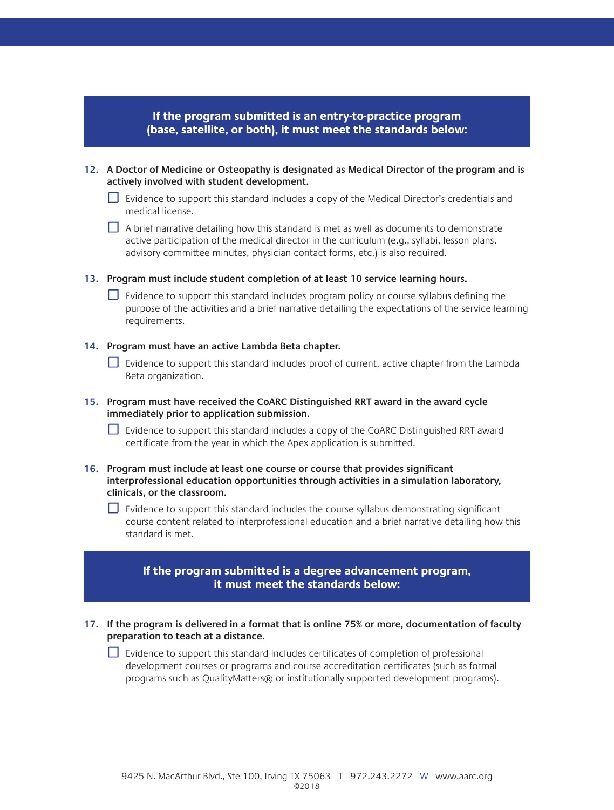**If the program submitted is an entry-to-practice program (base, satellite, or both), it must meet the standards below:**

- **12. A Doctor of Medicine or Osteopathy is designated as Medical Director of the program and is actively involved with student development.**
	- □ Evidence to support this standard includes a copy of the Medical Director's credentials and medical license.
	- $\Box$  A brief narrative detailing how this standard is met as well as documents to demonstrate active participation of the medical director in the curriculum (e.g., syllabi, lesson plans, advisory committee minutes, physician contact forms, etc.) is also required.
- **13. Program must include student completion of at least 10 service learning hours.** 
	- □ Evidence to support this standard includes program policy or course syllabus defining the purpose of the activities and a brief narrative detailing the expectations of the service learning requirements.

## **14. Program must have an active Lambda Beta chapter.**

- □ Evidence to support this standard includes proof of current, active chapter from the Lambda Beta organization.
- **15. Program must have received the CoARC Distinguished RRT award in the award cycle immediately prior to application submission.**
	- $□$  Evidence to support this standard includes a copy of the CoARC Distinguished RRT award certificate from the year in which the Apex application is submitted.
- **16. Program must include at least one course or course that provides significant interprofessional education opportunities through activities in a simulation laboratory, clinicals, or the classroom.**
	- $□$  Evidence to support this standard includes the course syllabus demonstrating significant course content related to interprofessional education and a brief narrative detailing how this standard is met.

## **If the program submitted is a degree advancement program, it must meet the standards below:**

**17. If the program is delivered in a format that is online 75% or more, documentation of faculty preparation to teach at a distance.**

□ Evidence to support this standard includes certificates of completion of professional development courses or programs and course accreditation certificates (such as formal programs such as QualityMatters® or institutionally supported development programs).